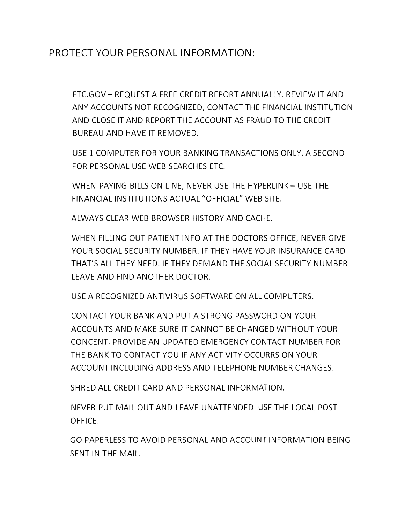## PROTECT YOUR PERSONAL INFORMATION:

FTC.GOV- REQUEST A FREE CREDIT REPORT ANNUALLY. REVIEW IT AND ANY ACCOUNTS NOT RECOGNIZED, CONTACT THE FINANCIAL INSTITUTION AND CLOSE IT AND REPORT THE ACCOUNT AS FRAUD TO THE CREDIT BUREAU AND HAVE IT REMOVED.

USE 1 COMPUTER FOR YOUR BANKING TRANSACTIONS ONLY, A SECOND FOR PERSONAL USE WEB SEARCHES ETC.

WHEN PAYING BILLS ON LINE, NEVER USE THE HYPERLINK - USE THE FINANCIAL INSTITUTIONS ACTUAL "OFFICIAL" WEB SITE.

ALWAYS CLEAR WEB BROWSER HISTORY AND CACHE.

WHEN FILLING OUT PATIENT INFO AT THE DOCTORS OFFICE, NEVER GIVE YOUR SOCIAL SECURITY NUMBER. IF THEY HAVE YOUR INSURANCE CARD THAT'S ALL THEY NEED. IF THEY DEMAND THE SOCIAL SECURITY NUMBER LEAVE AND FIND ANOTHER DOCTOR.

USE A RECOGNIZED ANTIVIRUS SOFTWARE ON ALL COMPUTERS.

CONTACT YOUR BANK AND PUT A STRONG PASSWORD ON YOUR ACCOUNTS AND MAKE SURE IT CANNOT BE CHANGED WITHOUT YOUR CONCENT. PROVIDE AN UPDATED EMERGENCY CONTACT NUMBER FOR THE BANK TO CONTACT YOU IF ANY ACTIVITY OCCURRS ON YOUR ACCOUNT INCLUDING ADDRESS AND TELEPHONE NUMBER CHANGES.

SHRED ALL CREDIT CARD AND PERSONAL INFORMATION.

NEVER PUT MAIL OUT AND LEAVE UNATTENDED. USE THE LOCAL POST OFFICE.

GO PAPERLESS TO AVOID PERSONAL AND ACCOUNT INFORMATION BEING SENT IN THE MAIL.